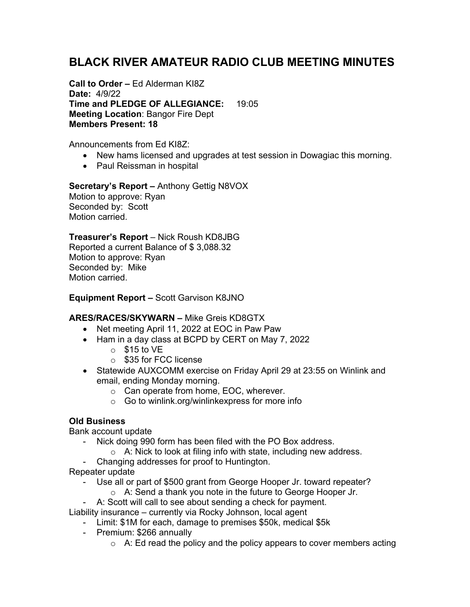## **BLACK RIVER AMATEUR RADIO CLUB MEETING MINUTES**

**Call to Order –** Ed Alderman KI8Z **Date:** 4/9/22 **Time and PLEDGE OF ALLEGIANCE:** 19:05 **Meeting Location**: Bangor Fire Dept **Members Present: 18**

Announcements from Ed KI8Z:

- New hams licensed and upgrades at test session in Dowagiac this morning.
- Paul Reissman in hospital

# **Secretary's Report –** Anthony Gettig N8VOX

Motion to approve: Ryan Seconded by: Scott Motion carried.

#### **Treasurer's Report** – Nick Roush KD8JBG

Reported a current Balance of \$ 3,088.32 Motion to approve: Ryan Seconded by: Mike Motion carried.

**Equipment Report –** Scott Garvison K8JNO

### **ARES/RACES/SKYWARN –** Mike Greis KD8GTX

- Net meeting April 11, 2022 at EOC in Paw Paw
- Ham in a day class at BCPD by CERT on May 7, 2022
	- $\circ$  \$15 to VE
	- o \$35 for FCC license
- Statewide AUXCOMM exercise on Friday April 29 at 23:55 on Winlink and email, ending Monday morning.
	- o Can operate from home, EOC, wherever.
	- o Go to winlink.org/winlinkexpress for more info

### **Old Business**

Bank account update

- Nick doing 990 form has been filed with the PO Box address.
	- $\circ$  A: Nick to look at filing info with state, including new address.
- Changing addresses for proof to Huntington.
- Repeater update
	- Use all or part of \$500 grant from George Hooper Jr. toward repeater? o A: Send a thank you note in the future to George Hooper Jr.
	- A: Scott will call to see about sending a check for payment.

Liability insurance – currently via Rocky Johnson, local agent

- Limit: \$1M for each, damage to premises \$50k, medical \$5k
- Premium: \$266 annually
	- $\circ$  A: Ed read the policy and the policy appears to cover members acting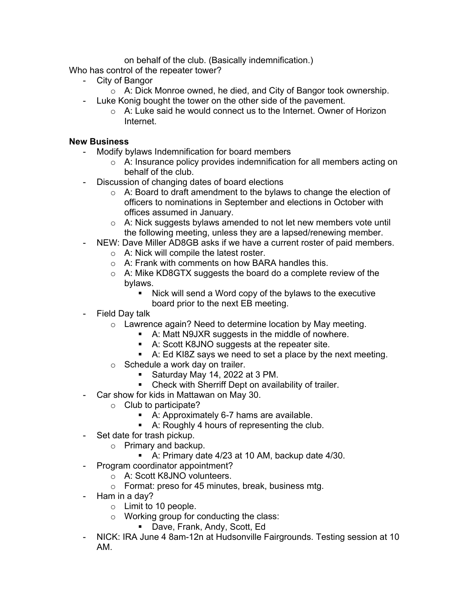on behalf of the club. (Basically indemnification.)

Who has control of the repeater tower?

- City of Bangor
	- $\circ$  A: Dick Monroe owned, he died, and City of Bangor took ownership.
- Luke Konig bought the tower on the other side of the pavement.
	- o A: Luke said he would connect us to the Internet. Owner of Horizon Internet.

#### **New Business**

- Modify bylaws Indemnification for board members
	- $\circ$  A: Insurance policy provides indemnification for all members acting on behalf of the club.
- Discussion of changing dates of board elections
	- $\circ$  A: Board to draft amendment to the bylaws to change the election of officers to nominations in September and elections in October with offices assumed in January.
	- o A: Nick suggests bylaws amended to not let new members vote until the following meeting, unless they are a lapsed/renewing member.
- NEW: Dave Miller AD8GB asks if we have a current roster of paid members.
	- o A: Nick will compile the latest roster.
	- o A: Frank with comments on how BARA handles this.
	- o A: Mike KD8GTX suggests the board do a complete review of the bylaws.
		- Nick will send a Word copy of the bylaws to the executive board prior to the next EB meeting.
- Field Day talk
	- o Lawrence again? Need to determine location by May meeting.
		- A: Matt N9JXR suggests in the middle of nowhere.
		- A: Scott K8JNO suggests at the repeater site.
		- A: Ed KI8Z says we need to set a place by the next meeting.
	- o Schedule a work day on trailer.
		- § Saturday May 14, 2022 at 3 PM.
		- Check with Sherriff Dept on availability of trailer.
- Car show for kids in Mattawan on May 30.
	- $\circ$  Club to participate?
		- A: Approximately 6-7 hams are available.
		- A: Roughly 4 hours of representing the club.
- Set date for trash pickup.
	- o Primary and backup.
		- A: Primary date 4/23 at 10 AM, backup date 4/30.
- Program coordinator appointment?
	- o A: Scott K8JNO volunteers.
	- o Format: preso for 45 minutes, break, business mtg.
- Ham in a day?
	- o Limit to 10 people.
	- o Working group for conducting the class:
		- Dave, Frank, Andy, Scott, Ed
- NICK: IRA June 4 8am-12n at Hudsonville Fairgrounds. Testing session at 10 AM.